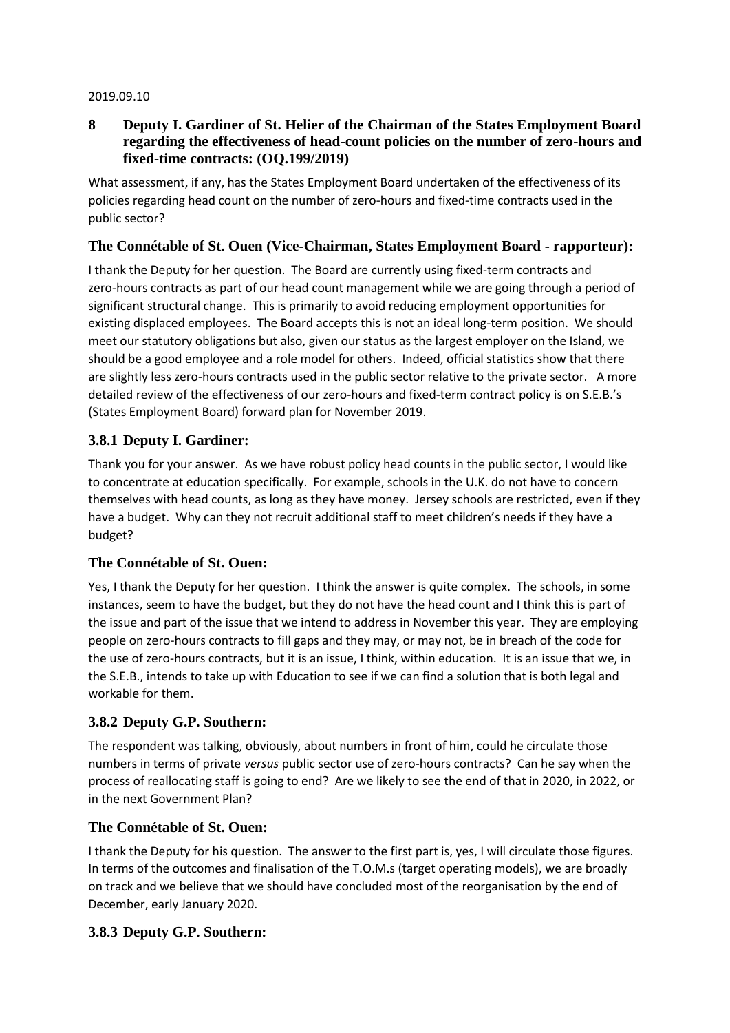#### 2019.09.10

## **8 Deputy I. Gardiner of St. Helier of the Chairman of the States Employment Board regarding the effectiveness of head-count policies on the number of zero-hours and fixed-time contracts: (OQ.199/2019)**

What assessment, if any, has the States Employment Board undertaken of the effectiveness of its policies regarding head count on the number of zero-hours and fixed-time contracts used in the public sector?

## **The Connétable of St. Ouen (Vice-Chairman, States Employment Board - rapporteur):**

I thank the Deputy for her question. The Board are currently using fixed-term contracts and zero-hours contracts as part of our head count management while we are going through a period of significant structural change. This is primarily to avoid reducing employment opportunities for existing displaced employees. The Board accepts this is not an ideal long-term position. We should meet our statutory obligations but also, given our status as the largest employer on the Island, we should be a good employee and a role model for others. Indeed, official statistics show that there are slightly less zero-hours contracts used in the public sector relative to the private sector. A more detailed review of the effectiveness of our zero-hours and fixed-term contract policy is on S.E.B.'s (States Employment Board) forward plan for November 2019.

## **3.8.1 Deputy I. Gardiner:**

Thank you for your answer. As we have robust policy head counts in the public sector, I would like to concentrate at education specifically. For example, schools in the U.K. do not have to concern themselves with head counts, as long as they have money. Jersey schools are restricted, even if they have a budget. Why can they not recruit additional staff to meet children's needs if they have a budget?

#### **The Connétable of St. Ouen:**

Yes, I thank the Deputy for her question. I think the answer is quite complex. The schools, in some instances, seem to have the budget, but they do not have the head count and I think this is part of the issue and part of the issue that we intend to address in November this year. They are employing people on zero-hours contracts to fill gaps and they may, or may not, be in breach of the code for the use of zero-hours contracts, but it is an issue, I think, within education. It is an issue that we, in the S.E.B., intends to take up with Education to see if we can find a solution that is both legal and workable for them.

#### **3.8.2 Deputy G.P. Southern:**

The respondent was talking, obviously, about numbers in front of him, could he circulate those numbers in terms of private *versus* public sector use of zero-hours contracts? Can he say when the process of reallocating staff is going to end? Are we likely to see the end of that in 2020, in 2022, or in the next Government Plan?

#### **The Connétable of St. Ouen:**

I thank the Deputy for his question. The answer to the first part is, yes, I will circulate those figures. In terms of the outcomes and finalisation of the T.O.M.s (target operating models), we are broadly on track and we believe that we should have concluded most of the reorganisation by the end of December, early January 2020.

## **3.8.3 Deputy G.P. Southern:**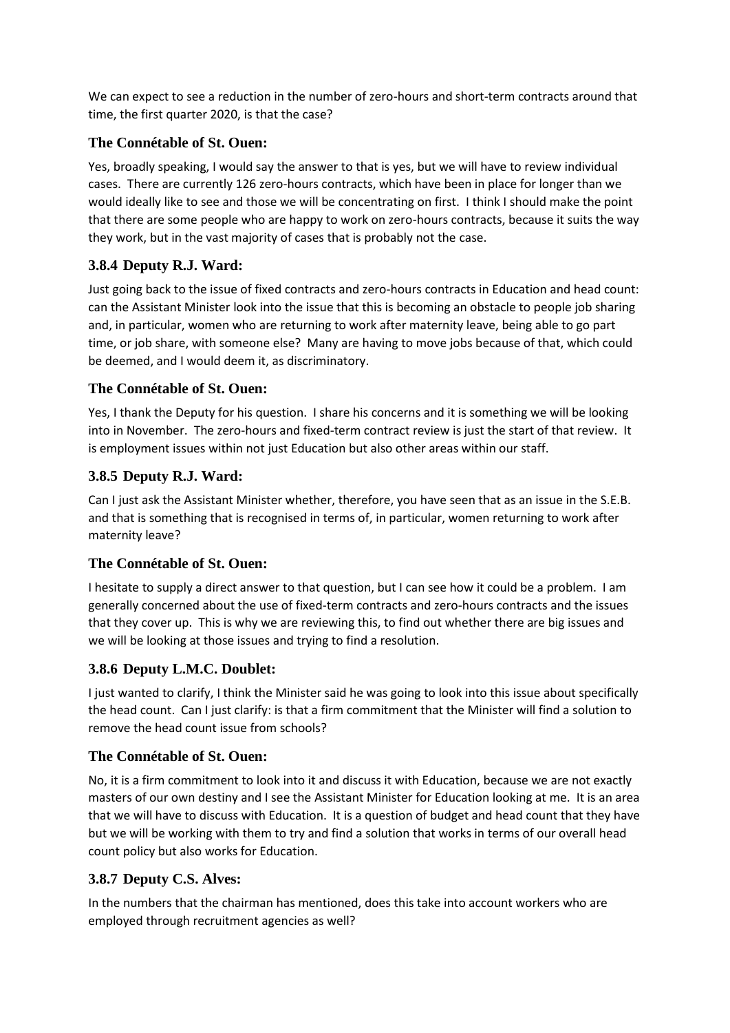We can expect to see a reduction in the number of zero-hours and short-term contracts around that time, the first quarter 2020, is that the case?

## **The Connétable of St. Ouen:**

Yes, broadly speaking, I would say the answer to that is yes, but we will have to review individual cases. There are currently 126 zero-hours contracts, which have been in place for longer than we would ideally like to see and those we will be concentrating on first. I think I should make the point that there are some people who are happy to work on zero-hours contracts, because it suits the way they work, but in the vast majority of cases that is probably not the case.

# **3.8.4 Deputy R.J. Ward:**

Just going back to the issue of fixed contracts and zero-hours contracts in Education and head count: can the Assistant Minister look into the issue that this is becoming an obstacle to people job sharing and, in particular, women who are returning to work after maternity leave, being able to go part time, or job share, with someone else? Many are having to move jobs because of that, which could be deemed, and I would deem it, as discriminatory.

# **The Connétable of St. Ouen:**

Yes, I thank the Deputy for his question. I share his concerns and it is something we will be looking into in November. The zero-hours and fixed-term contract review is just the start of that review. It is employment issues within not just Education but also other areas within our staff.

# **3.8.5 Deputy R.J. Ward:**

Can I just ask the Assistant Minister whether, therefore, you have seen that as an issue in the S.E.B. and that is something that is recognised in terms of, in particular, women returning to work after maternity leave?

## **The Connétable of St. Ouen:**

I hesitate to supply a direct answer to that question, but I can see how it could be a problem. I am generally concerned about the use of fixed-term contracts and zero-hours contracts and the issues that they cover up. This is why we are reviewing this, to find out whether there are big issues and we will be looking at those issues and trying to find a resolution.

# **3.8.6 Deputy L.M.C. Doublet:**

I just wanted to clarify, I think the Minister said he was going to look into this issue about specifically the head count. Can I just clarify: is that a firm commitment that the Minister will find a solution to remove the head count issue from schools?

# **The Connétable of St. Ouen:**

No, it is a firm commitment to look into it and discuss it with Education, because we are not exactly masters of our own destiny and I see the Assistant Minister for Education looking at me. It is an area that we will have to discuss with Education. It is a question of budget and head count that they have but we will be working with them to try and find a solution that works in terms of our overall head count policy but also works for Education.

## **3.8.7 Deputy C.S. Alves:**

In the numbers that the chairman has mentioned, does this take into account workers who are employed through recruitment agencies as well?